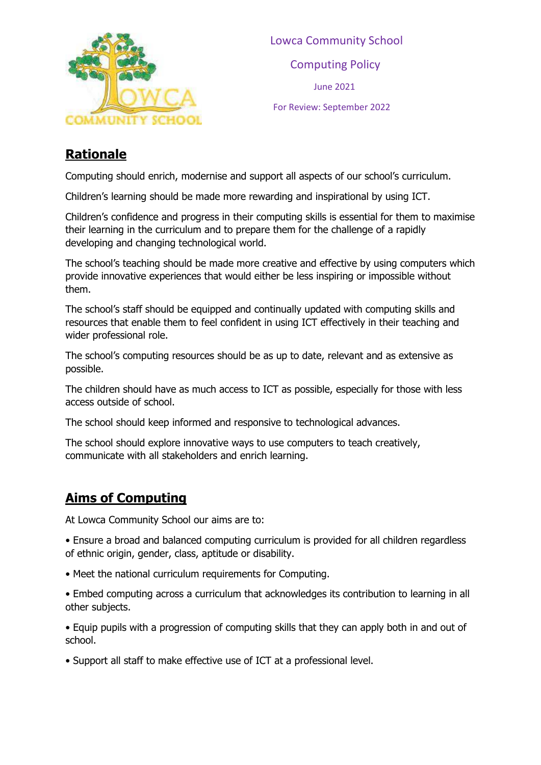

 Lowca Community School Computing Policy June 2021 For Review: September 2022

#### **Rationale**

Computing should enrich, modernise and support all aspects of our school's curriculum.

Children's learning should be made more rewarding and inspirational by using ICT.

Children's confidence and progress in their computing skills is essential for them to maximise their learning in the curriculum and to prepare them for the challenge of a rapidly developing and changing technological world.

The school's teaching should be made more creative and effective by using computers which provide innovative experiences that would either be less inspiring or impossible without them.

The school's staff should be equipped and continually updated with computing skills and resources that enable them to feel confident in using ICT effectively in their teaching and wider professional role.

The school's computing resources should be as up to date, relevant and as extensive as possible.

The children should have as much access to ICT as possible, especially for those with less access outside of school.

The school should keep informed and responsive to technological advances.

The school should explore innovative ways to use computers to teach creatively, communicate with all stakeholders and enrich learning.

## **Aims of Computing**

At Lowca Community School our aims are to:

• Ensure a broad and balanced computing curriculum is provided for all children regardless of ethnic origin, gender, class, aptitude or disability.

• Meet the national curriculum requirements for Computing.

• Embed computing across a curriculum that acknowledges its contribution to learning in all other subjects.

• Equip pupils with a progression of computing skills that they can apply both in and out of school.

• Support all staff to make effective use of ICT at a professional level.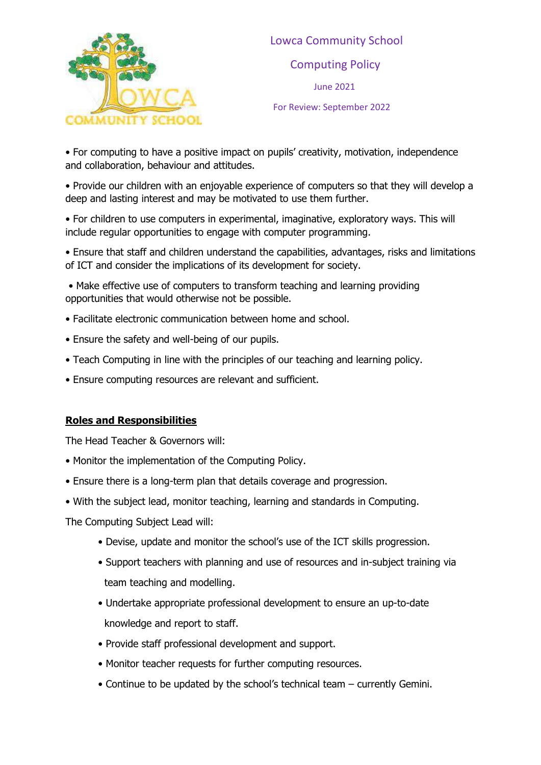

 Lowca Community School Computing Policy June 2021 For Review: September 2022

• For computing to have a positive impact on pupils' creativity, motivation, independence and collaboration, behaviour and attitudes.

• Provide our children with an enjoyable experience of computers so that they will develop a deep and lasting interest and may be motivated to use them further.

• For children to use computers in experimental, imaginative, exploratory ways. This will include regular opportunities to engage with computer programming.

• Ensure that staff and children understand the capabilities, advantages, risks and limitations of ICT and consider the implications of its development for society.

• Make effective use of computers to transform teaching and learning providing opportunities that would otherwise not be possible.

- Facilitate electronic communication between home and school.
- Ensure the safety and well-being of our pupils.
- Teach Computing in line with the principles of our teaching and learning policy.
- Ensure computing resources are relevant and sufficient.

#### **Roles and Responsibilities**

The Head Teacher & Governors will:

- Monitor the implementation of the Computing Policy.
- Ensure there is a long-term plan that details coverage and progression.
- With the subject lead, monitor teaching, learning and standards in Computing.

The Computing Subject Lead will:

- Devise, update and monitor the school's use of the ICT skills progression.
- Support teachers with planning and use of resources and in-subject training via team teaching and modelling.
- Undertake appropriate professional development to ensure an up-to-date knowledge and report to staff.
- Provide staff professional development and support.
- Monitor teacher requests for further computing resources.
- Continue to be updated by the school's technical team currently Gemini.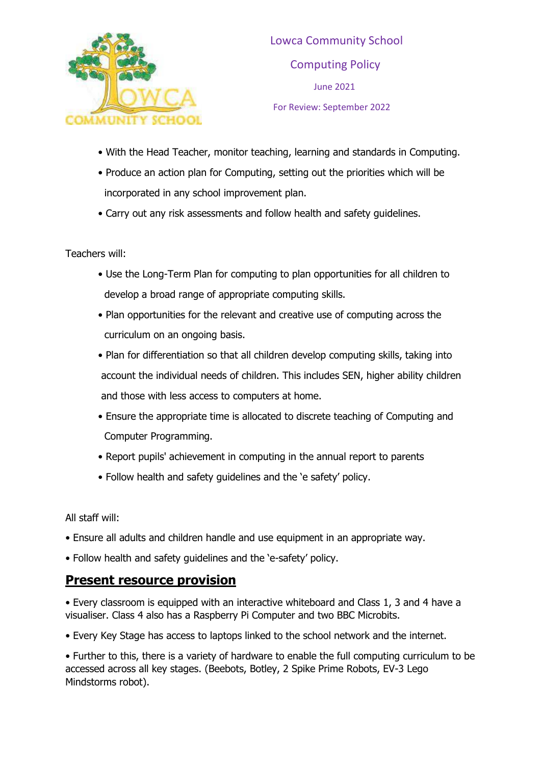

- With the Head Teacher, monitor teaching, learning and standards in Computing.
- Produce an action plan for Computing, setting out the priorities which will be incorporated in any school improvement plan.
- Carry out any risk assessments and follow health and safety guidelines.

Teachers will:

- Use the Long-Term Plan for computing to plan opportunities for all children to develop a broad range of appropriate computing skills.
- Plan opportunities for the relevant and creative use of computing across the curriculum on an ongoing basis.
- Plan for differentiation so that all children develop computing skills, taking into account the individual needs of children. This includes SEN, higher ability children and those with less access to computers at home.
- Ensure the appropriate time is allocated to discrete teaching of Computing and Computer Programming.
- Report pupils' achievement in computing in the annual report to parents
- Follow health and safety guidelines and the 'e safety' policy.

All staff will:

- Ensure all adults and children handle and use equipment in an appropriate way.
- Follow health and safety guidelines and the 'e-safety' policy.

#### **Present resource provision**

• Every classroom is equipped with an interactive whiteboard and Class 1, 3 and 4 have a visualiser. Class 4 also has a Raspberry Pi Computer and two BBC Microbits.

• Every Key Stage has access to laptops linked to the school network and the internet.

• Further to this, there is a variety of hardware to enable the full computing curriculum to be accessed across all key stages. (Beebots, Botley, 2 Spike Prime Robots, EV-3 Lego Mindstorms robot).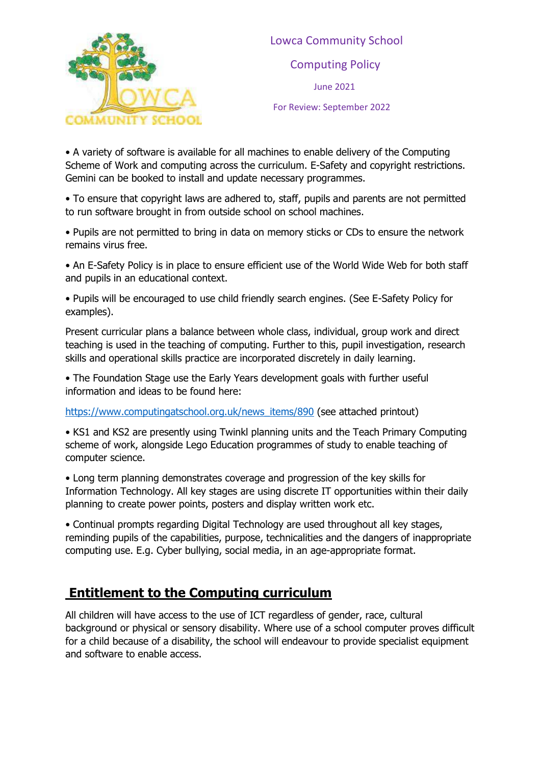

• A variety of software is available for all machines to enable delivery of the Computing Scheme of Work and computing across the curriculum. E-Safety and copyright restrictions. Gemini can be booked to install and update necessary programmes.

• To ensure that copyright laws are adhered to, staff, pupils and parents are not permitted to run software brought in from outside school on school machines.

• Pupils are not permitted to bring in data on memory sticks or CDs to ensure the network remains virus free.

• An E-Safety Policy is in place to ensure efficient use of the World Wide Web for both staff and pupils in an educational context.

• Pupils will be encouraged to use child friendly search engines. (See E-Safety Policy for examples).

Present curricular plans a balance between whole class, individual, group work and direct teaching is used in the teaching of computing. Further to this, pupil investigation, research skills and operational skills practice are incorporated discretely in daily learning.

• The Foundation Stage use the Early Years development goals with further useful information and ideas to be found here:

[https://www.computingatschool.org.uk/news\\_items/890](https://www.computingatschool.org.uk/news_items/890) (see attached printout)

• KS1 and KS2 are presently using Twinkl planning units and the Teach Primary Computing scheme of work, alongside Lego Education programmes of study to enable teaching of computer science.

• Long term planning demonstrates coverage and progression of the key skills for Information Technology. All key stages are using discrete IT opportunities within their daily planning to create power points, posters and display written work etc.

• Continual prompts regarding Digital Technology are used throughout all key stages, reminding pupils of the capabilities, purpose, technicalities and the dangers of inappropriate computing use. E.g. Cyber bullying, social media, in an age-appropriate format.

## **Entitlement to the Computing curriculum**

All children will have access to the use of ICT regardless of gender, race, cultural background or physical or sensory disability. Where use of a school computer proves difficult for a child because of a disability, the school will endeavour to provide specialist equipment and software to enable access.